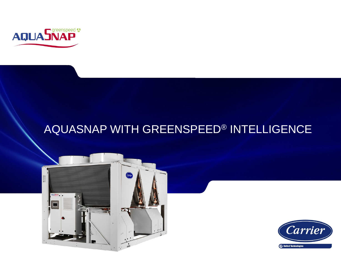

#### AQUASNAP WITH GREENSPEED® INTELLIGENCE



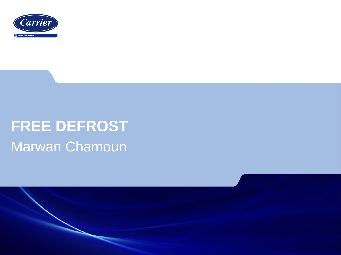

# **FREE DEFROST** Marwan Chamoun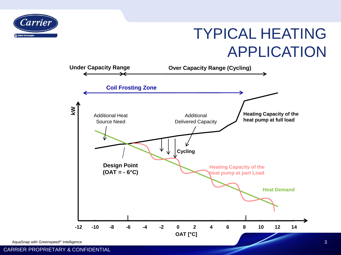

# TYPICAL HEATING APPLICATION

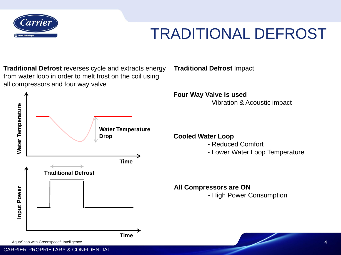

#### TRADITIONAL DEFROST

**Traditional Defrost** Impact

**Traditional Defrost** reverses cycle and extracts energy from water loop in order to melt frost on the coil using all compressors and four way valve

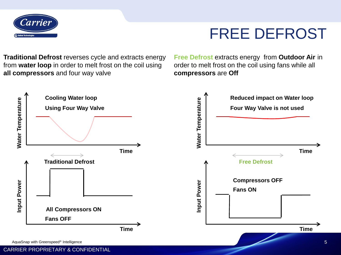

#### FREE DEFROST

**Traditional Defrost** reverses cycle and extracts energy from **water loop** in order to melt frost on the coil using **all compressors** and four way valve

**Free Defrost** extracts energy from **Outdoor Air** in order to melt frost on the coil using fans while all **compressors** are **Off**

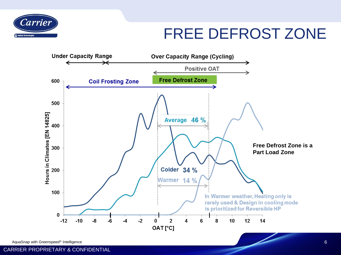

#### FREE DEFROST ZONE

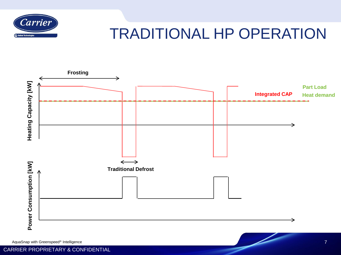

#### TRADITIONAL HP OPERATION

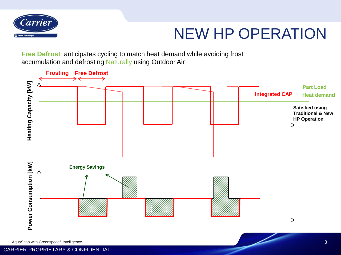

# NEW HP OPERATION

**Free Defrost** anticipates cycling to match heat demand while avoiding frost accumulation and defrosting Naturally using Outdoor Air

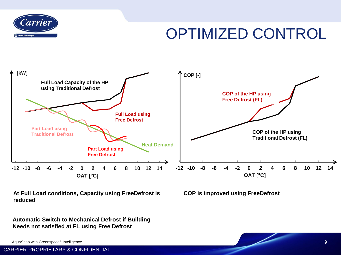

# OPTIMIZED CONTROL



**At Full Load conditions, Capacity using FreeDefrost is reduced**

**Automatic Switch to Mechanical Defrost if Building Needs not satisfied at FL using Free Defrost**

AquaSnap with Greenspeed® Intelligence

CARRIER PROPRIETARY & CONFIDENTIAL

**COP is improved using FreeDefrost** 

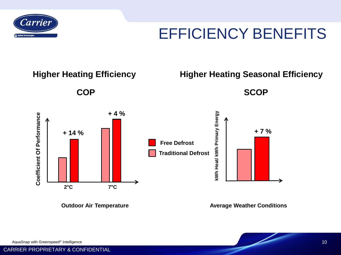

## EFFICIENCY BENEFITS



**Outdoor Air Temperature**

**Average Weather Conditions**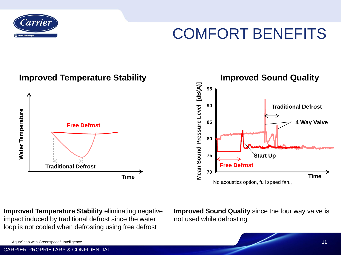

# COMFORT BENEFITS



**Improved Temperature Stability** eliminating negative impact induced by traditional defrost since the water loop is not cooled when defrosting using free defrost

**Improved Sound Quality** since the four way valve is not used while defrosting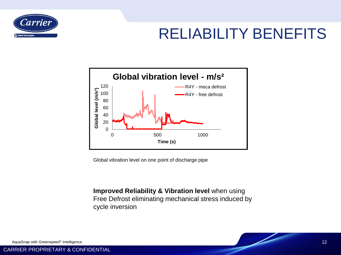

# RELIABILITY BENEFITS



Global vibration level on one point of discharge pipe

**Improved Reliability & Vibration level** when using Free Defrost eliminating mechanical stress induced by cycle inversion